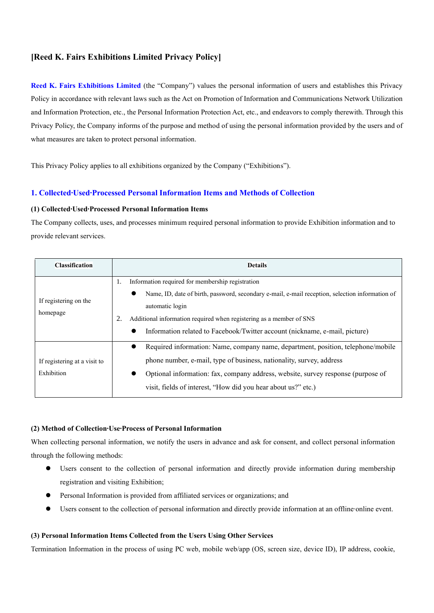# **[Reed K. Fairs Exhibitions Limited Privacy Policy]**

**Reed K. Fairs Exhibitions Limited** (the "Company") values the personal information of users and establishes this Privacy Policy in accordance with relevant laws such as the Act on Promotion of Information and Communications Network Utilization and Information Protection, etc., the Personal Information Protection Act, etc., and endeavors to comply therewith. Through this Privacy Policy, the Company informs of the purpose and method of using the personal information provided by the users and of what measures are taken to protect personal information.

This Privacy Policy applies to all exhibitions organized by the Company ("Exhibitions").

## **1. Collected∙Used∙Processed Personal Information Items and Methods of Collection**

### **(1) Collected∙Used∙Processed Personal Information Items**

The Company collects, uses, and processes minimum required personal information to provide Exhibition information and to provide relevant services.

| <b>Classification</b>                      | <b>Details</b>                                                                                                                                                                                                                                                                                                                                        |  |  |  |  |
|--------------------------------------------|-------------------------------------------------------------------------------------------------------------------------------------------------------------------------------------------------------------------------------------------------------------------------------------------------------------------------------------------------------|--|--|--|--|
| If registering on the<br>homepage          | Information required for membership registration<br>1.<br>Name, ID, date of birth, password, secondary e-mail, e-mail reception, selection information of<br>automatic login<br>Additional information required when registering as a member of SNS<br>2.<br>Information related to Facebook/Twitter account (nickname, e-mail, picture)<br>$\bullet$ |  |  |  |  |
| If registering at a visit to<br>Exhibition | Required information: Name, company name, department, position, telephone/mobile<br>$\bullet$<br>phone number, e-mail, type of business, nationality, survey, address<br>Optional information: fax, company address, website, survey response (purpose of<br>visit, fields of interest, "How did you hear about us?" etc.)                            |  |  |  |  |

### **(2) Method of Collection∙Use∙Process of Personal Information**

When collecting personal information, we notify the users in advance and ask for consent, and collect personal information through the following methods:

- Users consent to the collection of personal information and directly provide information during membership registration and visiting Exhibition;
- ⚫ Personal Information is provided from affiliated services or organizations; and
- ⚫ Users consent to the collection of personal information and directly provide information at an offline∙online event.

### **(3) Personal Information Items Collected from the Users Using Other Services**

Termination Information in the process of using PC web, mobile web/app (OS, screen size, device ID), IP address, cookie,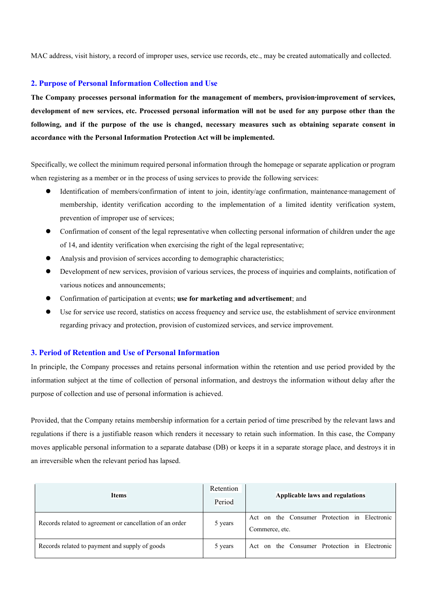MAC address, visit history, a record of improper uses, service use records, etc., may be created automatically and collected.

### **2. Purpose of Personal Information Collection and Use**

**The Company processes personal information for the management of members, provision∙improvement of services, development of new services, etc. Processed personal information will not be used for any purpose other than the following, and if the purpose of the use is changed, necessary measures such as obtaining separate consent in accordance with the Personal Information Protection Act will be implemented.**

Specifically, we collect the minimum required personal information through the homepage or separate application or program when registering as a member or in the process of using services to provide the following services:

- ⚫ Identification of members/confirmation of intent to join, identity/age confirmation, maintenance∙management of membership, identity verification according to the implementation of a limited identity verification system, prevention of improper use of services;
- ⚫ Confirmation of consent of the legal representative when collecting personal information of children under the age of 14, and identity verification when exercising the right of the legal representative;
- ⚫ Analysis and provision of services according to demographic characteristics;
- ⚫ Development of new services, provision of various services, the process of inquiries and complaints, notification of various notices and announcements;
- ⚫ Confirmation of participation at events; **use for marketing and advertisement**; and
- ⚫ Use for service use record, statistics on access frequency and service use, the establishment of service environment regarding privacy and protection, provision of customized services, and service improvement.

#### **3. Period of Retention and Use of Personal Information**

In principle, the Company processes and retains personal information within the retention and use period provided by the information subject at the time of collection of personal information, and destroys the information without delay after the purpose of collection and use of personal information is achieved.

Provided, that the Company retains membership information for a certain period of time prescribed by the relevant laws and regulations if there is a justifiable reason which renders it necessary to retain such information. In this case, the Company moves applicable personal information to a separate database (DB) or keeps it in a separate storage place, and destroys it in an irreversible when the relevant period has lapsed.

| <b>Items</b>                                             | Retention<br>Period | Applicable laws and regulations                                |  |  |  |
|----------------------------------------------------------|---------------------|----------------------------------------------------------------|--|--|--|
| Records related to agreement or cancellation of an order | 5 years             | Act on the Consumer Protection in Electronic<br>Commerce, etc. |  |  |  |
| Records related to payment and supply of goods           | 5 years             | Act on the Consumer Protection in Electronic                   |  |  |  |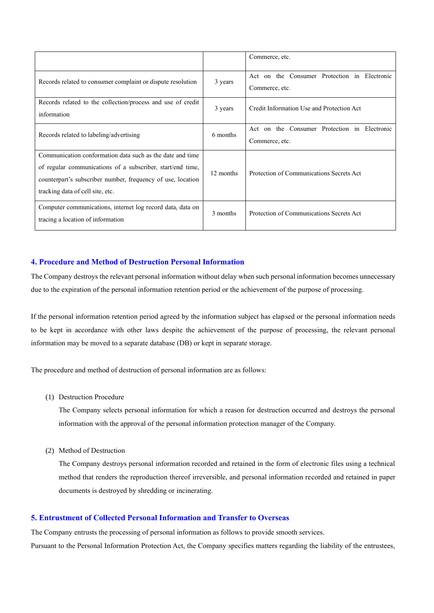|                                                                                                                                                                                                                            |           | Commerce, etc.                                                 |  |  |
|----------------------------------------------------------------------------------------------------------------------------------------------------------------------------------------------------------------------------|-----------|----------------------------------------------------------------|--|--|
| Records related to consumer complaint or dispute resolution                                                                                                                                                                | 3 years   | Act on the Consumer Protection in Electronic<br>Commerce, etc. |  |  |
| Records related to the collection/process and use of credit<br>information                                                                                                                                                 | 3 years   | Credit Information Use and Protection Act                      |  |  |
| Records related to labeling/advertising                                                                                                                                                                                    | 6 months  | Act on the Consumer Protection in Electronic<br>Commerce, etc. |  |  |
| Communication conformation data such as the date and time<br>of regular communications of a subscriber, start/end time,<br>counterpart's subscriber number, frequency of use, location<br>tracking data of cell site, etc. | 12 months | Protection of Communications Secrets Act                       |  |  |
| Computer communications, internet log record data, data on<br>tracing a location of information                                                                                                                            | 3 months  | Protection of Communications Secrets Act                       |  |  |

## **4. Procedure and Method of Destruction Personal Information**

The Company destroys the relevant personal information without delay when such personal information becomes unnecessary due to the expiration of the personal information retention period or the achievement of the purpose of processing.

If the personal information retention period agreed by the information subject has elapsed or the personal information needs to be kept in accordance with other laws despite the achievement of the purpose of processing, the relevant personal information may be moved to a separate database (DB) or kept in separate storage.

The procedure and method of destruction of personal information are as follows:

(1) Destruction Procedure

The Company selects personal information for which a reason for destruction occurred and destroys the personal information with the approval of the personal information protection manager of the Company.

(2) Method of Destruction

The Company destroys personal information recorded and retained in the form of electronic files using a technical method that renders the reproduction thereof irreversible, and personal information recorded and retained in paper documents is destroyed by shredding or incinerating.

### **5. Entrustment of Collected Personal Information and Transfer to Overseas**

The Company entrusts the processing of personal information as follows to provide smooth services.

Pursuant to the Personal Information Protection Act, the Company specifies matters regarding the liability of the entrustees,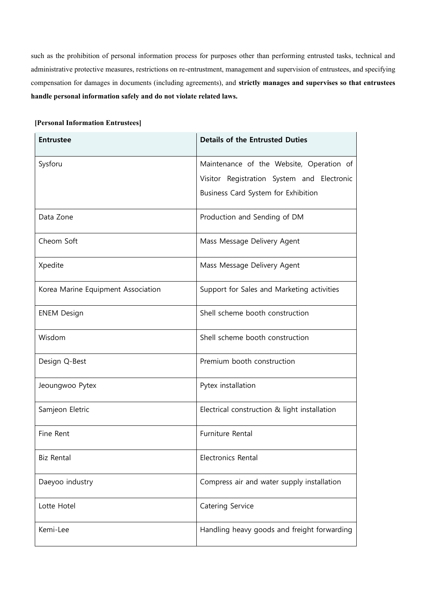such as the prohibition of personal information process for purposes other than performing entrusted tasks, technical and administrative protective measures, restrictions on re-entrustment, management and supervision of entrustees, and specifying compensation for damages in documents (including agreements), and **strictly manages and supervises so that entrustees handle personal information safely and do not violate related laws.**

## **[Personal Information Entrustees]**

| <b>Entrustee</b>                   | <b>Details of the Entrusted Duties</b>                                            |  |  |  |
|------------------------------------|-----------------------------------------------------------------------------------|--|--|--|
| Sysforu                            | Maintenance of the Website, Operation of                                          |  |  |  |
|                                    | Visitor Registration System and Electronic<br>Business Card System for Exhibition |  |  |  |
| Data Zone                          | Production and Sending of DM                                                      |  |  |  |
| Cheom Soft                         | Mass Message Delivery Agent                                                       |  |  |  |
| Xpedite                            | Mass Message Delivery Agent                                                       |  |  |  |
| Korea Marine Equipment Association | Support for Sales and Marketing activities                                        |  |  |  |
| <b>ENEM Design</b>                 | Shell scheme booth construction                                                   |  |  |  |
| Wisdom                             | Shell scheme booth construction                                                   |  |  |  |
| Design Q-Best                      | Premium booth construction                                                        |  |  |  |
| Jeoungwoo Pytex                    | Pytex installation                                                                |  |  |  |
| Samjeon Eletric                    | Electrical construction & light installation                                      |  |  |  |
| Fine Rent                          | Furniture Rental                                                                  |  |  |  |
| <b>Biz Rental</b>                  | Electronics Rental                                                                |  |  |  |
| Daeyoo industry                    | Compress air and water supply installation                                        |  |  |  |
| Lotte Hotel                        | Catering Service                                                                  |  |  |  |
| Kemi-Lee                           | Handling heavy goods and freight forwarding                                       |  |  |  |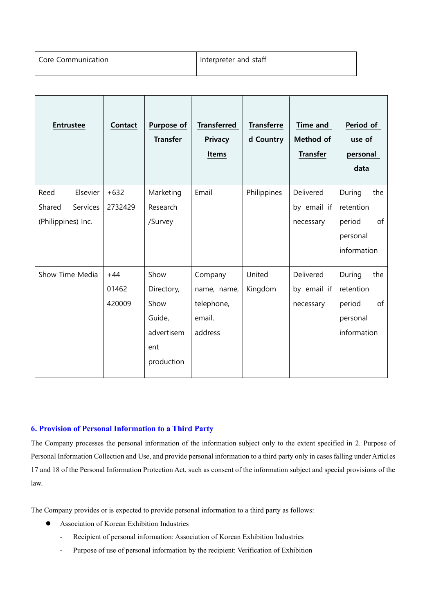| <b>Entrustee</b>   | Contact | Purpose of<br><b>Transfer</b> | <b>Transferred</b><br><b>Privacy</b><br><b>Items</b> | <b>Transferre</b><br>d Country | <b>Time and</b><br>Method of<br><b>Transfer</b> | Period of<br>use of<br>personal<br>data |
|--------------------|---------|-------------------------------|------------------------------------------------------|--------------------------------|-------------------------------------------------|-----------------------------------------|
| Elsevier<br>Reed   | $+632$  | Marketing                     | Email                                                | Philippines                    | Delivered                                       | During<br>the                           |
| Shared<br>Services | 2732429 | Research                      |                                                      |                                | by email if                                     | retention                               |
| (Philippines) Inc. |         | /Survey                       |                                                      |                                | necessary                                       | of<br>period                            |
|                    |         |                               |                                                      |                                |                                                 | personal                                |
|                    |         |                               |                                                      |                                |                                                 | information                             |
| Show Time Media    | $+44$   | Show                          | Company                                              | United                         | Delivered                                       | During<br>the                           |
|                    | 01462   | Directory,                    | name, name,                                          | Kingdom                        | by email if                                     | retention                               |
|                    | 420009  | Show                          | telephone,                                           |                                | necessary                                       | period<br>of                            |
|                    |         | Guide,                        | email,                                               |                                |                                                 | personal                                |
|                    |         | advertisem                    | address                                              |                                |                                                 | information                             |
|                    |         | ent                           |                                                      |                                |                                                 |                                         |
|                    |         | production                    |                                                      |                                |                                                 |                                         |

# **6. Provision of Personal Information to a Third Party**

The Company processes the personal information of the information subject only to the extent specified in 2. Purpose of Personal Information Collection and Use, and provide personal information to a third party only in cases falling under Articles 17 and 18 of the Personal Information Protection Act, such as consent of the information subject and special provisions of the law.

The Company provides or is expected to provide personal information to a third party as follows:

- ⚫ Association of Korean Exhibition Industries
	- Recipient of personal information: Association of Korean Exhibition Industries
	- Purpose of use of personal information by the recipient: Verification of Exhibition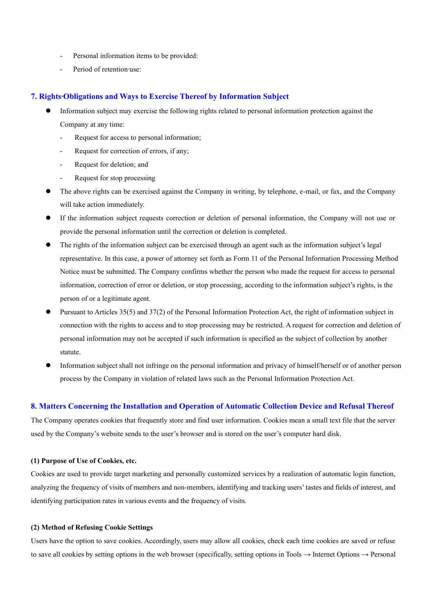- Personal information items to be provided:
- Period of retention∙use:

#### **7. Rights∙Obligations and Ways to Exercise Thereof by Information Subject**

- ⚫ Information subject may exercise the following rights related to personal information protection against the Company at any time:
	- Request for access to personal information;
	- Request for correction of errors, if any;
	- Request for deletion; and
	- Request for stop processing
- ⚫ The above rights can be exercised against the Company in writing, by telephone, e-mail, or fax, and the Company will take action immediately.
- ⚫ If the information subject requests correction or deletion of personal information, the Company will not use or provide the personal information until the correction or deletion is completed.
- ⚫ The rights of the information subject can be exercised through an agent such as the information subject's legal representative. In this case, a power of attorney set forth as Form 11 of the Personal Information Processing Method Notice must be submitted. The Company confirms whether the person who made the request for access to personal information, correction of error or deletion, or stop processing, according to the information subject's rights, is the person of or a legitimate agent.
- ⚫ Pursuant to Articles 35(5) and 37(2) of the Personal Information Protection Act, the right of information subject in connection with the rights to access and to stop processing may be restricted. A request for correction and deletion of personal information may not be accepted if such information is specified as the subject of collection by another statute.
- ⚫ Information subject shall not infringe on the personal information and privacy of himself/herself or of another person process by the Company in violation of related laws such as the Personal Information Protection Act.

#### **8. Matters Concerning the Installation and Operation of Automatic Collection Device and Refusal Thereof**

The Company operates cookies that frequently store and find user information. Cookies mean a small text file that the server used by the Company's website sends to the user's browser and is stored on the user's computer hard disk.

#### **(1) Purpose of Use of Cookies, etc.**

Cookies are used to provide target marketing and personally customized services by a realization of automatic login function, analyzing the frequency of visits of members and non-members, identifying and tracking users' tastes and fields of interest, and identifying participation rates in various events and the frequency of visits.

#### **(2) Method of Refusing Cookie Settings**

Users have the option to save cookies. Accordingly, users may allow all cookies, check each time cookies are saved or refuse to save all cookies by setting options in the web browser (specifically, setting options in Tools → Internet Options → Personal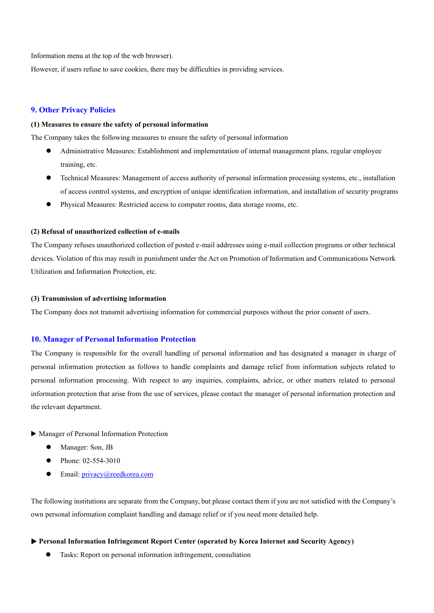Information menu at the top of the web browser).

However, if users refuse to save cookies, there may be difficulties in providing services.

#### **9. Other Privacy Policies**

#### **(1) Measures to ensure the safety of personal information**

The Company takes the following measures to ensure the safety of personal information

- ⚫ Administrative Measures: Establishment and implementation of internal management plans, regular employee training, etc.
- ⚫ Technical Measures: Management of access authority of personal information processing systems, etc., installation of access control systems, and encryption of unique identification information, and installation of security programs
- ⚫ Physical Measures: Restricted access to computer rooms, data storage rooms, etc.

#### **(2) Refusal of unauthorized collection of e-mails**

The Company refuses unauthorized collection of posted e-mail addresses using e-mail collection programs or other technical devices. Violation of this may result in punishment under the Act on Promotion of Information and Communications Network Utilization and Information Protection, etc.

### **(3) Transmission of advertising information**

The Company does not transmit advertising information for commercial purposes without the prior consent of users.

#### **10. Manager of Personal Information Protection**

The Company is responsible for the overall handling of personal information and has designated a manager in charge of personal information protection as follows to handle complaints and damage relief from information subjects related to personal information processing. With respect to any inquiries, complaints, advice, or other matters related to personal information protection that arise from the use of services, please contact the manager of personal information protection and the relevant department.

▶ Manager of Personal Information Protection

- Manager: Son, JB
- Phone: 02-554-3010
- Email: [privacy@reedkorea.com](mailto:privacy@reedkorea.com)

The following institutions are separate from the Company, but please contact them if you are not satisfied with the Company's own personal information complaint handling and damage relief or if you need more detailed help.

▶ **Personal Information Infringement Report Center (operated by Korea Internet and Security Agency)**

⚫ Tasks: Report on personal information infringement, consultation